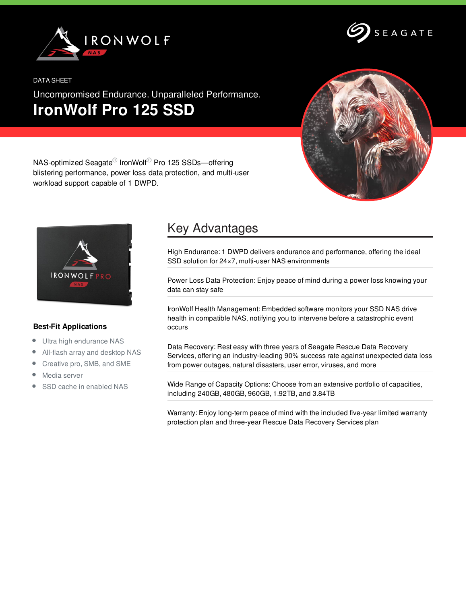

SEAGATE

### DATA SHEET

Uncompromised Endurance. Unparalleled Performance. **IronWolf Pro 125 SSD**



NAS-optimized Seagate® IronWolf® Pro 125 SSDs—offering blistering performance, power loss data protection, and multi-user workload support capable of 1 DWPD.



## **Best-Fit Applications**

- Ultra high endurance NAS  $\bullet$
- All-flash array and desktop NAS  $\bullet$
- Creative pro, SMB, and SME  $\bullet$
- Media server  $\bullet$
- SSD cache in enabled NAS

# Key Advantages

High Endurance: 1 DWPD delivers endurance and performance, offering the ideal SSD solution for 24×7, multi-user NAS environments

Power Loss Data Protection: Enjoy peace of mind during a power loss knowing your data can stay safe

IronWolf Health Management: Embedded software monitors your SSD NAS drive health in compatible NAS, notifying you to intervene before a catastrophic event occurs

Data Recovery: Rest easy with three years of Seagate Rescue Data Recovery Services, offering an industry-leading 90% success rate against unexpected data loss from power outages, natural disasters, user error, viruses, and more

Wide Range of Capacity Options: Choose from an extensive portfolio of capacities, including 240GB, 480GB, 960GB, 1.92TB, and 3.84TB

Warranty: Enjoy long-term peace of mind with the included five-year limited warranty protection plan and three-year Rescue Data Recovery Services plan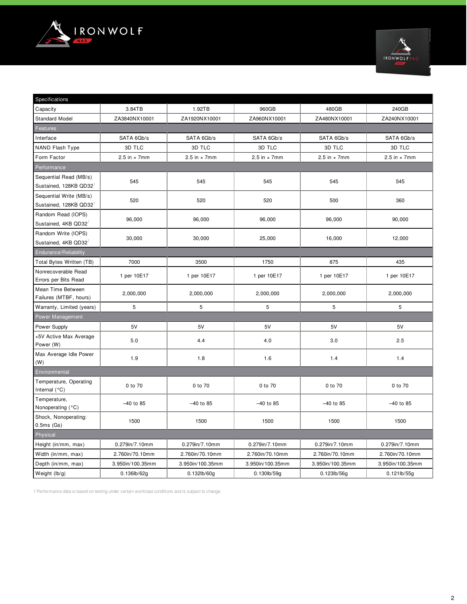



| Specifications                                   |                     |                     |                     |                     |                     |  |  |  |  |
|--------------------------------------------------|---------------------|---------------------|---------------------|---------------------|---------------------|--|--|--|--|
| Capacity                                         | 3.84TB              | 1.92TB              | 960GB               | 480GB               | 240GB               |  |  |  |  |
| <b>Standard Model</b>                            | ZA3840NX10001       | ZA1920NX10001       | ZA960NX10001        | ZA480NX10001        | ZA240NX10001        |  |  |  |  |
| Features                                         |                     |                     |                     |                     |                     |  |  |  |  |
| Interface                                        | SATA 6Gb/s          | SATA 6Gb/s          | SATA 6Gb/s          | SATA 6Gb/s          | SATA 6Gb/s          |  |  |  |  |
| NAND Flash Type                                  | 3D TLC              | 3D TLC              | 3D TLC              | 3D TLC              | 3D TLC              |  |  |  |  |
| Form Factor                                      | 2.5 in $\times$ 7mm | 2.5 in $\times$ 7mm | 2.5 in $\times$ 7mm | 2.5 in $\times$ 7mm | 2.5 in $\times$ 7mm |  |  |  |  |
| Performance                                      |                     |                     |                     |                     |                     |  |  |  |  |
| Sequential Read (MB/s)<br>Sustained, 128KB QD32  | 545                 | 545                 | 545                 | 545                 | 545                 |  |  |  |  |
| Sequential Write (MB/s)<br>Sustained, 128KB QD32 | 520                 | 520                 | 520                 | 500                 | 360                 |  |  |  |  |
| Random Read (IOPS)<br>Sustained, 4KB QD32        | 96,000              | 96,000              | 96,000              | 96,000              | 90,000              |  |  |  |  |
| Random Write (IOPS)<br>Sustained, 4KB QD32       | 30,000              | 30,000              | 25,000              | 16,000              | 12,000              |  |  |  |  |
| Endurance/Reliability                            |                     |                     |                     |                     |                     |  |  |  |  |
| Total Bytes Written (TB)                         | 7000                | 3500                | 1750                | 875                 | 435                 |  |  |  |  |
| Nonrecoverable Read<br>Errors per Bits Read      | 1 per 10E17         | 1 per 10E17         | 1 per 10E17         | 1 per 10E17         | 1 per 10E17         |  |  |  |  |
| Mean Time Between<br>Failures (MTBF, hours)      | 2,000,000           | 2,000,000           | 2,000,000           | 2,000,000           | 2,000,000           |  |  |  |  |
| Warranty, Limited (years)                        | 5                   | 5                   | 5                   | 5                   | 5                   |  |  |  |  |
| <b>Power Management</b>                          |                     |                     |                     |                     |                     |  |  |  |  |
| Power Supply                                     | 5V                  | 5V                  | 5V                  | 5V                  | 5V                  |  |  |  |  |
| +5V Active Max Average<br>Power (W)              | 5.0                 | 4.4                 | 4.0                 | 3.0                 | 2.5                 |  |  |  |  |
| Max Average Idle Power<br>(W)                    | 1.9                 | 1.8                 | 1.6                 | 1.4                 | 1.4                 |  |  |  |  |
| Environmental                                    |                     |                     |                     |                     |                     |  |  |  |  |
| Temperature, Operating<br>Internal (°C)          | 0 to 70             | 0 to 70             | 0 to 70             | 0 to 70             | 0 to 70             |  |  |  |  |
| Temperature,<br>Nonoperating (°C)                | $-40$ to 85         | $-40$ to 85         | -40 to 85           | $-40$ to 85         | $-40$ to 85         |  |  |  |  |
| Shock, Nonoperating:<br>$0.5ms$ (Gs)             | 1500                | 1500                | 1500                | 1500                | 1500                |  |  |  |  |
| Physical                                         |                     |                     |                     |                     |                     |  |  |  |  |
| Height (in/mm, max)                              | 0.279in/7.10mm      | 0.279in/7.10mm      | 0.279in/7.10mm      | 0.279in/7.10mm      | 0.279in/7.10mm      |  |  |  |  |
| Width (in/mm, max)                               | 2.760in/70.10mm     | 2.760in/70.10mm     | 2.760in/70.10mm     | 2.760in/70.10mm     | 2.760in/70.10mm     |  |  |  |  |
| Depth (in/mm, max)                               | 3.950in/100.35mm    | 3.950in/100.35mm    | 3.950in/100.35mm    | 3.950in/100.35mm    | 3.950in/100.35mm    |  |  |  |  |
| Weight $(lb/g)$                                  | $0.136$ lb/62g      | 0.132lb/60g         | 0.130lb/59g         | 0.123lb/56g         | 0.121lb/55g         |  |  |  |  |

1 Performance data is based on testing under certain workload conditions and is subject to change.